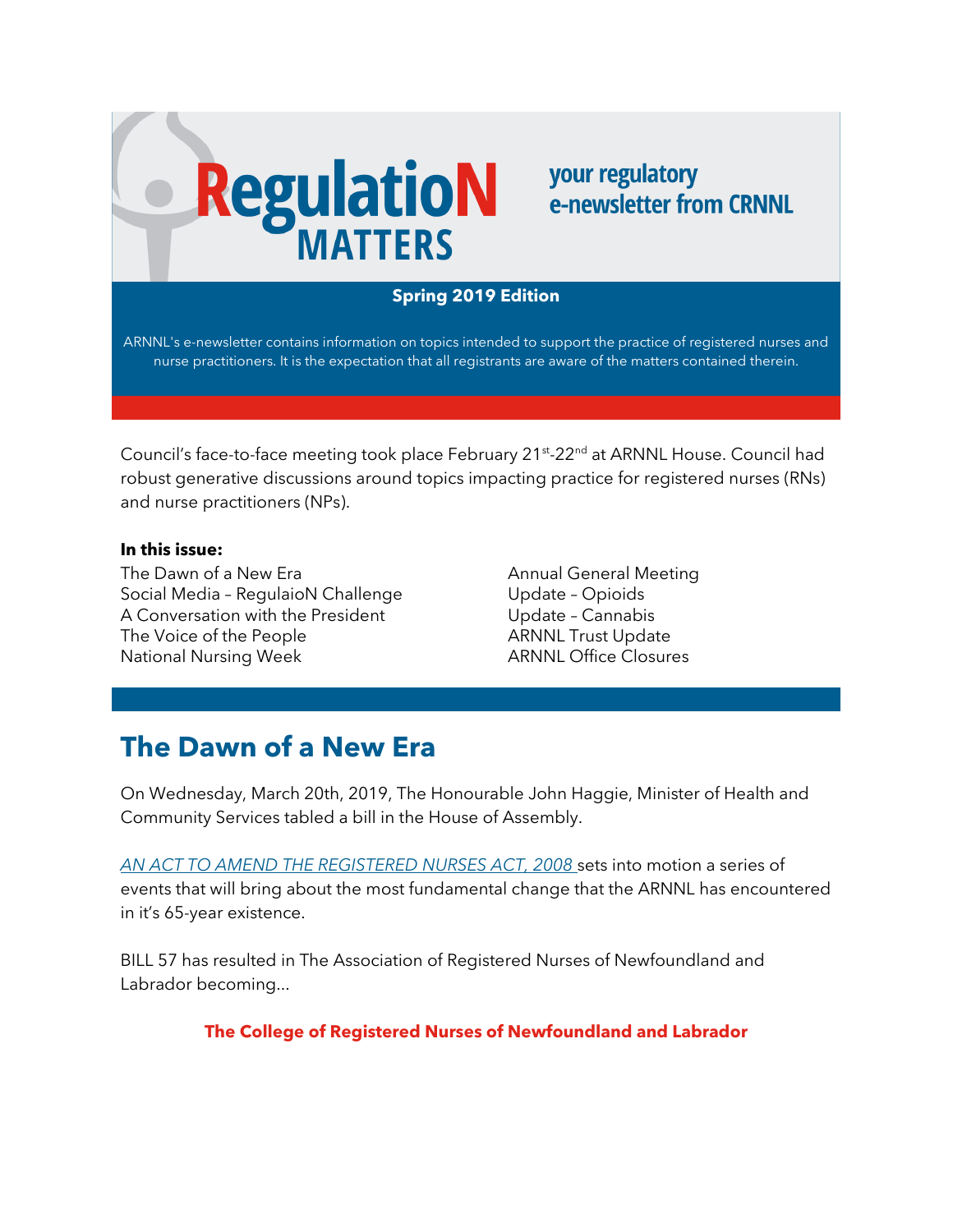# **RegulatioN**

### **your regulatory** e-newsletter from CRNNL

#### **Spring 2019 Edition**

ARNNL's e-newsletter contains information on topics intended to support the practice of registered nurses and nurse practitioners. It is the expectation that all registrants are aware of the matters contained therein.

Council's face-to-face meeting took place February 21st-22<sup>nd</sup> at ARNNL House. Council had robust generative discussions around topics impacting practice for registered nurses (RNs) and nurse practitioners (NPs).

#### **In this issue:**

The Dawn of a New Era Social Media – RegulaioN Challenge A Conversation with the President The Voice of the People National Nursing Week

Annual General Meeting Update – Opioids Update – Cannabis ARNNL Trust Update ARNNL Office Closures

## **The Dawn of a New Era**

On Wednesday, March 20th, 2019, The Honourable John Haggie, Minister of Health and Community Services tabled a bill in the House of Assembly.

*[AN ACT TO AMEND THE REGISTERED NURSES ACT, 2008](https://assembly.nl.ca/HouseBusiness/Bills/ga48session3/bill1857.htm)* sets into motion a series of events that will bring about the most fundamental change that the ARNNL has encountered in it's 65-year existence.

BILL 57 has resulted in The Association of Registered Nurses of Newfoundland and Labrador becoming...

#### **The College of Registered Nurses of Newfoundland and Labrador**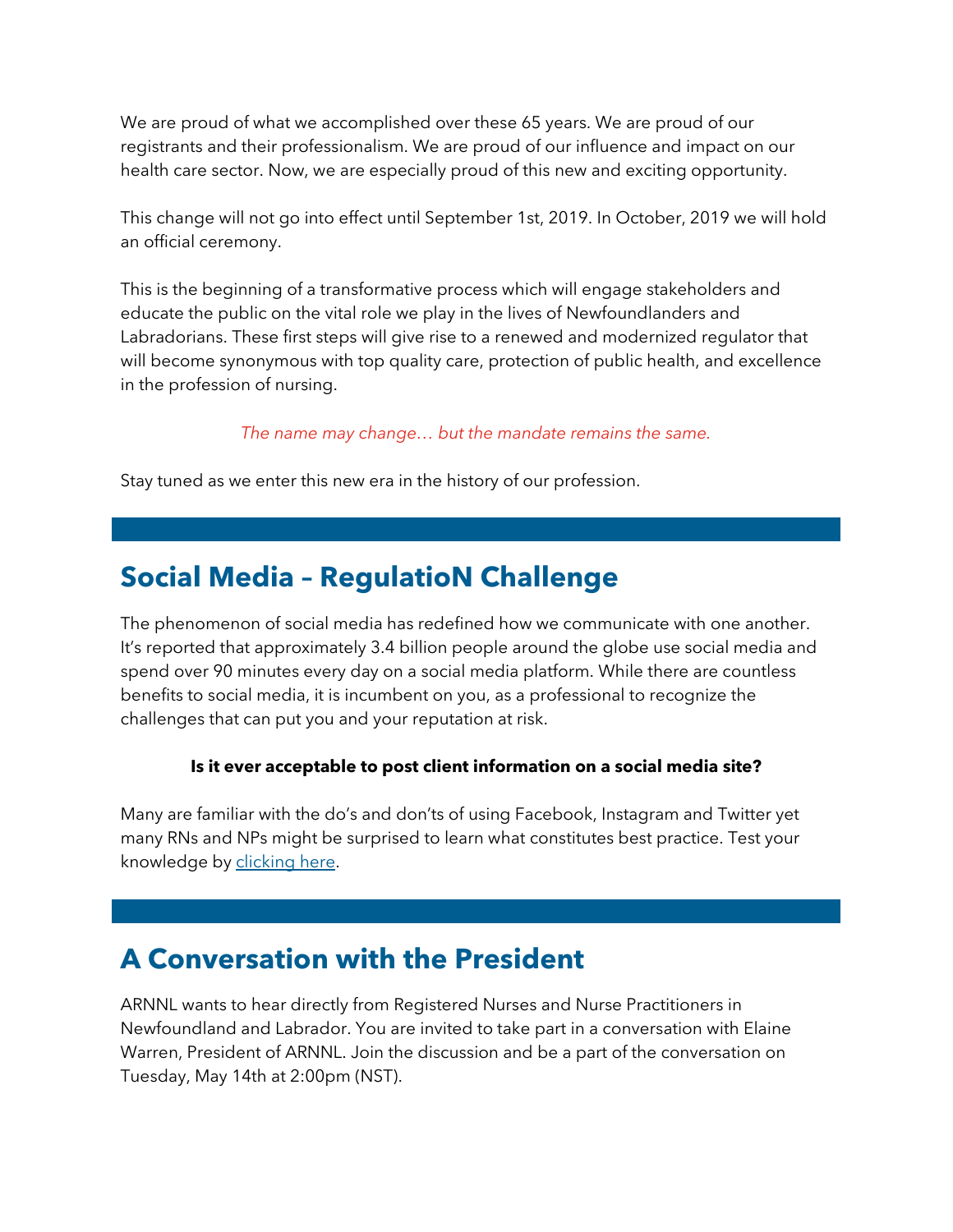We are proud of what we accomplished over these 65 years. We are proud of our registrants and their professionalism. We are proud of our influence and impact on our health care sector. Now, we are especially proud of this new and exciting opportunity.

This change will not go into effect until September 1st, 2019. In October, 2019 we will hold an official ceremony.

This is the beginning of a transformative process which will engage stakeholders and educate the public on the vital role we play in the lives of Newfoundlanders and Labradorians. These first steps will give rise to a renewed and modernized regulator that will become synonymous with top quality care, protection of public health, and excellence in the profession of nursing.

#### *The name may change… but the mandate remains the same.*

Stay tuned as we enter this new era in the history of our profession.

## **Social Media – RegulatioN Challenge**

The phenomenon of social media has redefined how we communicate with one another. It's reported that approximately 3.4 billion people around the globe use social media and spend over 90 minutes every day on a social media platform. While there are countless benefits to social media, it is incumbent on you, as a professional to recognize the challenges that can put you and your reputation at risk.

#### **Is it ever acceptable to post client information on a social media site?**

Many are familiar with the do's and don'ts of using Facebook, Instagram and Twitter yet many RNs and NPs might be surprised to learn what constitutes best practice. Test your knowledge by [clicking here.](https://arnnl.ca/confidentiality-social-media-and-you)

## **A Conversation with the President**

ARNNL wants to hear directly from Registered Nurses and Nurse Practitioners in Newfoundland and Labrador. You are invited to take part in a conversation with Elaine Warren, President of ARNNL. Join the discussion and be a part of the conversation on Tuesday, May 14th at 2:00pm (NST).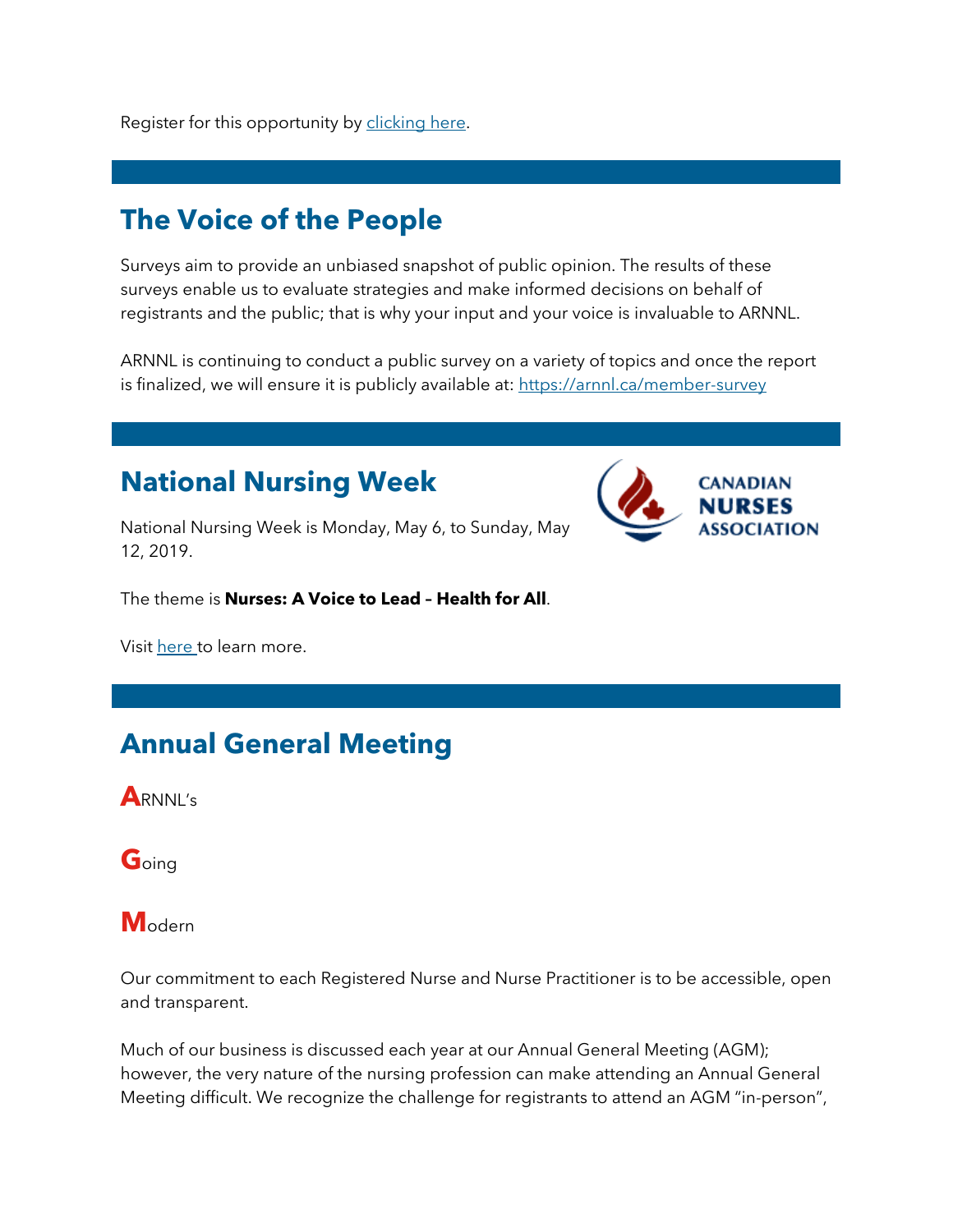## **The Voice of the People**

Surveys aim to provide an unbiased snapshot of public opinion. The results of these surveys enable us to evaluate strategies and make informed decisions on behalf of registrants and the public; that is why your input and your voice is invaluable to ARNNL.

ARNNL is continuing to conduct a public survey on a variety of topics and once the report is finalized, we will ensure it is publicly available at:<https://arnnl.ca/member-survey>

## **National Nursing Week**



National Nursing Week is Monday, May 6, to Sunday, May 12, 2019.

The theme is **Nurses: A Voice to Lead – Health for All**.

Visit [here t](https://www.cna-aiic.ca/en/events/national-nursing-week#datetime)o learn more.

## **Annual General Meeting**

**A**RNNL's

**G**oing

**M**odern

Our commitment to each Registered Nurse and Nurse Practitioner is to be accessible, open and transparent.

Much of our business is discussed each year at our Annual General Meeting (AGM); however, the very nature of the nursing profession can make attending an Annual General Meeting difficult. We recognize the challenge for registrants to attend an AGM "in-person",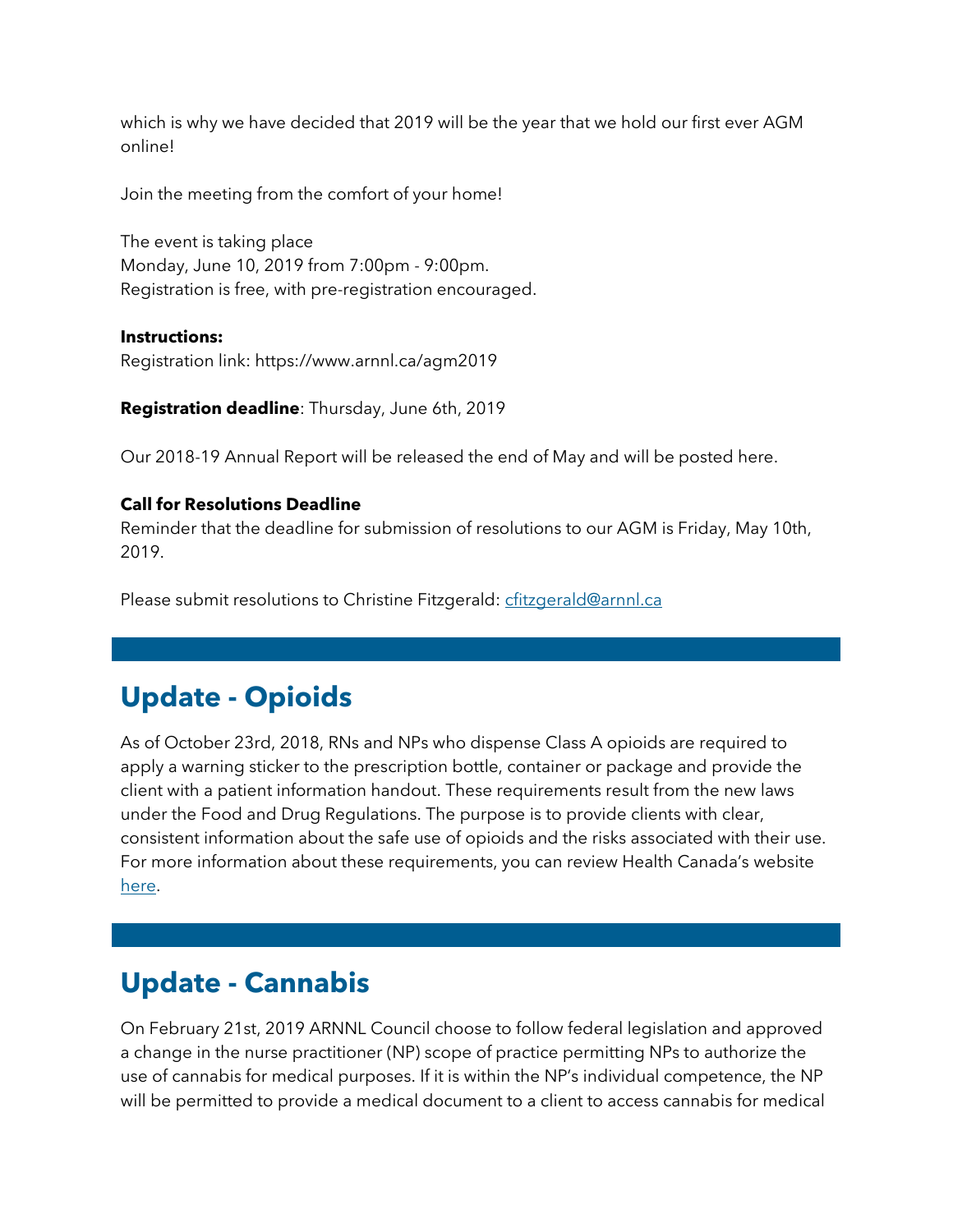which is why we have decided that 2019 will be the year that we hold our first ever AGM online!

Join the meeting from the comfort of your home!

The event is taking place Monday, June 10, 2019 from 7:00pm - 9:00pm. Registration is free, with pre-registration encouraged.

#### **Instructions:**

Registration link: https://www.arnnl.ca/agm2019

**Registration deadline**: Thursday, June 6th, 2019

Our 2018-19 Annual Report will be released the end of May and will be posted here.

#### **Call for Resolutions Deadline**

Reminder that the deadline for submission of resolutions to our AGM is Friday, May 10th, 2019.

Please submit resolutions to Christine Fitzgerald: [cfitzgerald@arnnl.ca](mailto:cfitzgerald@arnnl.ca)

## **Update - Opioids**

As of October 23rd, 2018, RNs and NPs who dispense Class A opioids are required to apply a warning sticker to the prescription bottle, container or package and provide the client with a patient information handout. These requirements result from the new laws under the Food and Drug Regulations. The purpose is to provide clients with clear, consistent information about the safe use of opioids and the risks associated with their use. For more information about these requirements, you can review Health Canada's website [here.](https://www.canada.ca/en/health-canada/services/drugs-health-products/drug-products/applications-submissions/policies/opioids-questions-answers.html)

## **Update - Cannabis**

On February 21st, 2019 ARNNL Council choose to follow federal legislation and approved a change in the nurse practitioner (NP) scope of practice permitting NPs to authorize the use of cannabis for medical purposes. If it is within the NP's individual competence, the NP will be permitted to provide a medical document to a client to access cannabis for medical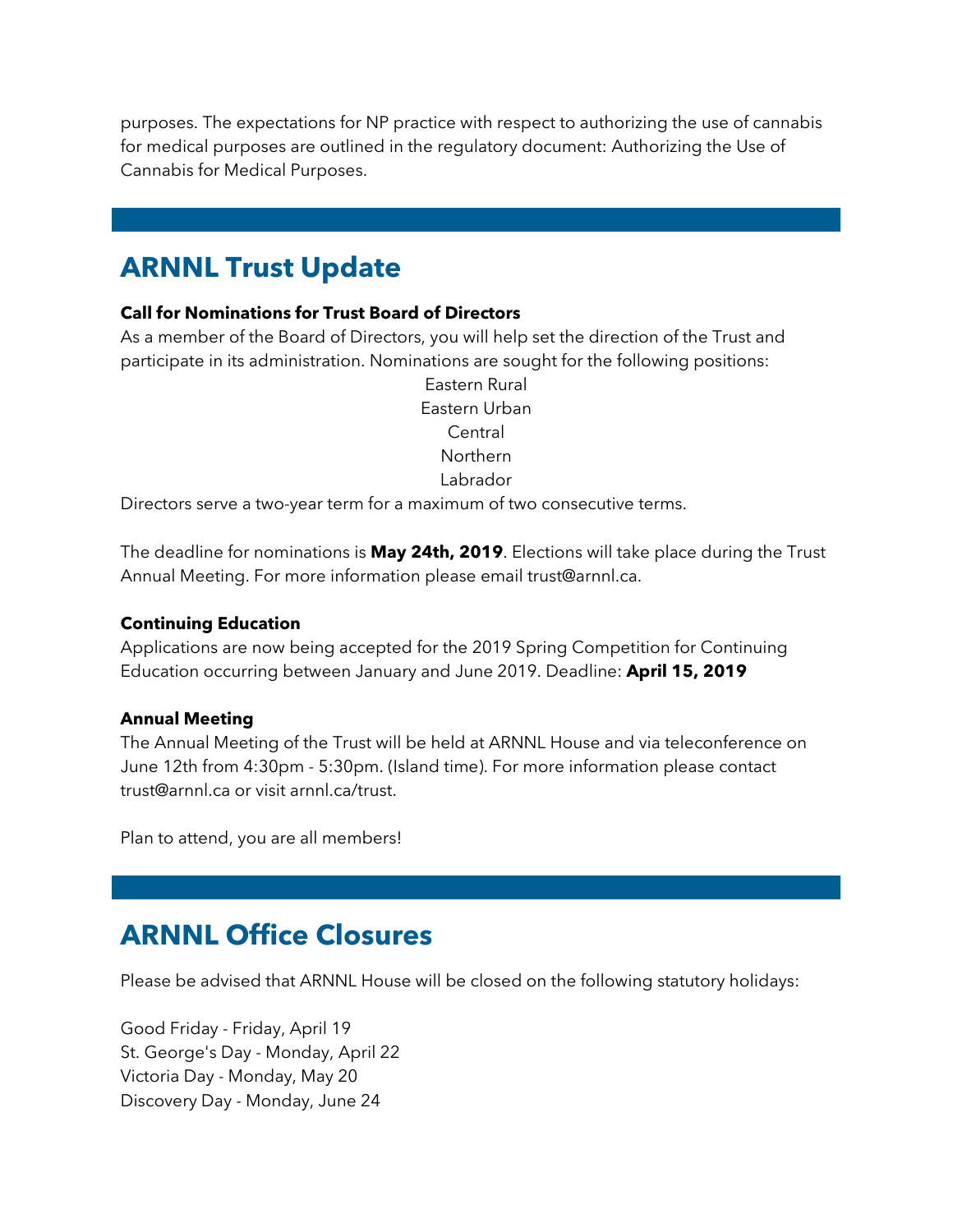purposes. The expectations for NP practice with respect to authorizing the use of cannabis for medical purposes are outlined in the regulatory document: Authorizing the Use of Cannabis for Medical Purposes.

## **ARNNL Trust Update**

#### **Call for Nominations for Trust Board of Directors**

As a member of the Board of Directors, you will help set the direction of the Trust and participate in its administration. Nominations are sought for the following positions:

> Eastern Rural Eastern Urban Central Northern Labrador

Directors serve a two-year term for a maximum of two consecutive terms.

The deadline for nominations is **May 24th, 2019**. Elections will take place during the Trust Annual Meeting. For more information please email trust@arnnl.ca.

#### **Continuing Education**

Applications are now being accepted for the 2019 Spring Competition for Continuing Education occurring between January and June 2019. Deadline: **April 15, 2019**

#### **Annual Meeting**

The Annual Meeting of the Trust will be held at ARNNL House and via teleconference on June 12th from 4:30pm - 5:30pm. (Island time). For more information please contact trust@arnnl.ca or visit arnnl.ca/trust.

Plan to attend, you are all members!

## **ARNNL Office Closures**

Please be advised that ARNNL House will be closed on the following statutory holidays:

Good Friday - Friday, April 19 St. George's Day - Monday, April 22 Victoria Day - Monday, May 20 Discovery Day - Monday, June 24